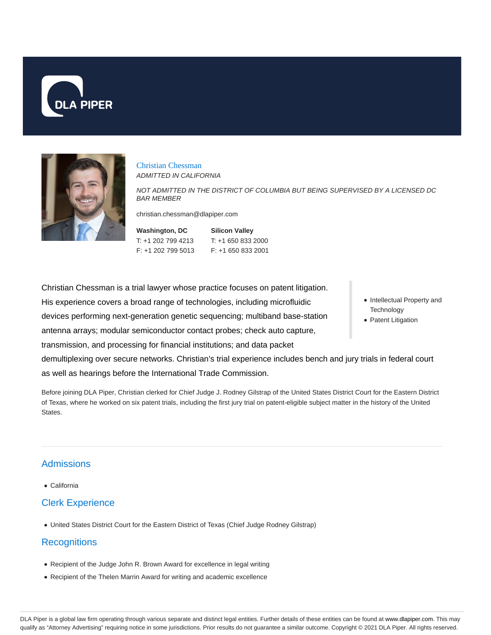



Christian Chessman ADMITTED IN CALIFORNIA

NOT ADMITTED IN THE DISTRICT OF COLUMBIA BUT BEING SUPERVISED BY A LICENSED DC BAR MEMBER

christian.chessman@dlapiper.com

| Washington, DC     | <b>Silicon Valley</b> |
|--------------------|-----------------------|
| T: +1 202 799 4213 | $T: +16508332000$     |
| F: +1 202 799 5013 | $F: +16508332001$     |

Christian Chessman is a trial lawyer whose practice focuses on patent litigation. His experience covers a broad range of technologies, including microfluidic devices performing next-generation genetic sequencing; multiband base-station antenna arrays; modular semiconductor contact probes; check auto capture, transmission, and processing for financial institutions; and data packet demultiplexing over secure networks. Christian's trial experience includes bench and jury trials in federal court as well as hearings before the International Trade Commission.

Before joining DLA Piper, Christian clerked for Chief Judge J. Rodney Gilstrap of the United States District Court for the Eastern District of Texas, where he worked on six patent trials, including the first jury trial on patent-eligible subject matter in the history of the United States.

# Admissions

California

## Clerk Experience

United States District Court for the Eastern District of Texas (Chief Judge Rodney Gilstrap)

## **Recognitions**

- Recipient of the Judge John R. Brown Award for excellence in legal writing
- Recipient of the Thelen Marrin Award for writing and academic excellence
- Intellectual Property and **Technology**
- Patent Litigation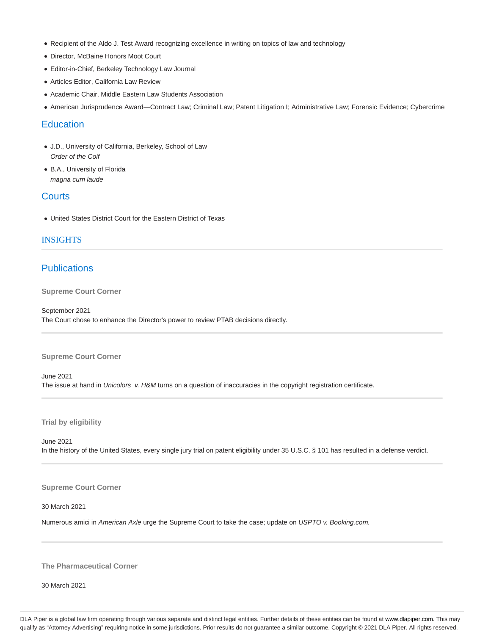- Recipient of the Aldo J. Test Award recognizing excellence in writing on topics of law and technology
- Director, McBaine Honors Moot Court
- Editor-in-Chief, Berkeley Technology Law Journal
- Articles Editor, California Law Review
- Academic Chair, Middle Eastern Law Students Association
- American Jurisprudence Award—Contract Law; Criminal Law; Patent Litigation I; Administrative Law; Forensic Evidence; Cybercrime

### **Education**

- J.D., University of California, Berkeley, School of Law Order of the Coif
- B.A., University of Florida magna cum laude

### **Courts**

United States District Court for the Eastern District of Texas

### INSIGHTS

### **Publications**

**Supreme Court Corner**

September 2021 The Court chose to enhance the Director's power to review PTAB decisions directly.

#### **Supreme Court Corner**

June 2021 The issue at hand in Unicolors v. H&M turns on a question of inaccuracies in the copyright registration certificate.

**Trial by eligibility**

June 2021 In the history of the United States, every single jury trial on patent eligibility under 35 U.S.C. § 101 has resulted in a defense verdict.

#### **Supreme Court Corner**

30 March 2021

Numerous amici in American Axle urge the Supreme Court to take the case; update on USPTO v. Booking.com.

#### **The Pharmaceutical Corner**

30 March 2021

DLA Piper is a global law firm operating through various separate and distinct legal entities. Further details of these entities can be found at www.dlapiper.com. This may qualify as "Attorney Advertising" requiring notice in some jurisdictions. Prior results do not guarantee a similar outcome. Copyright © 2021 DLA Piper. All rights reserved.